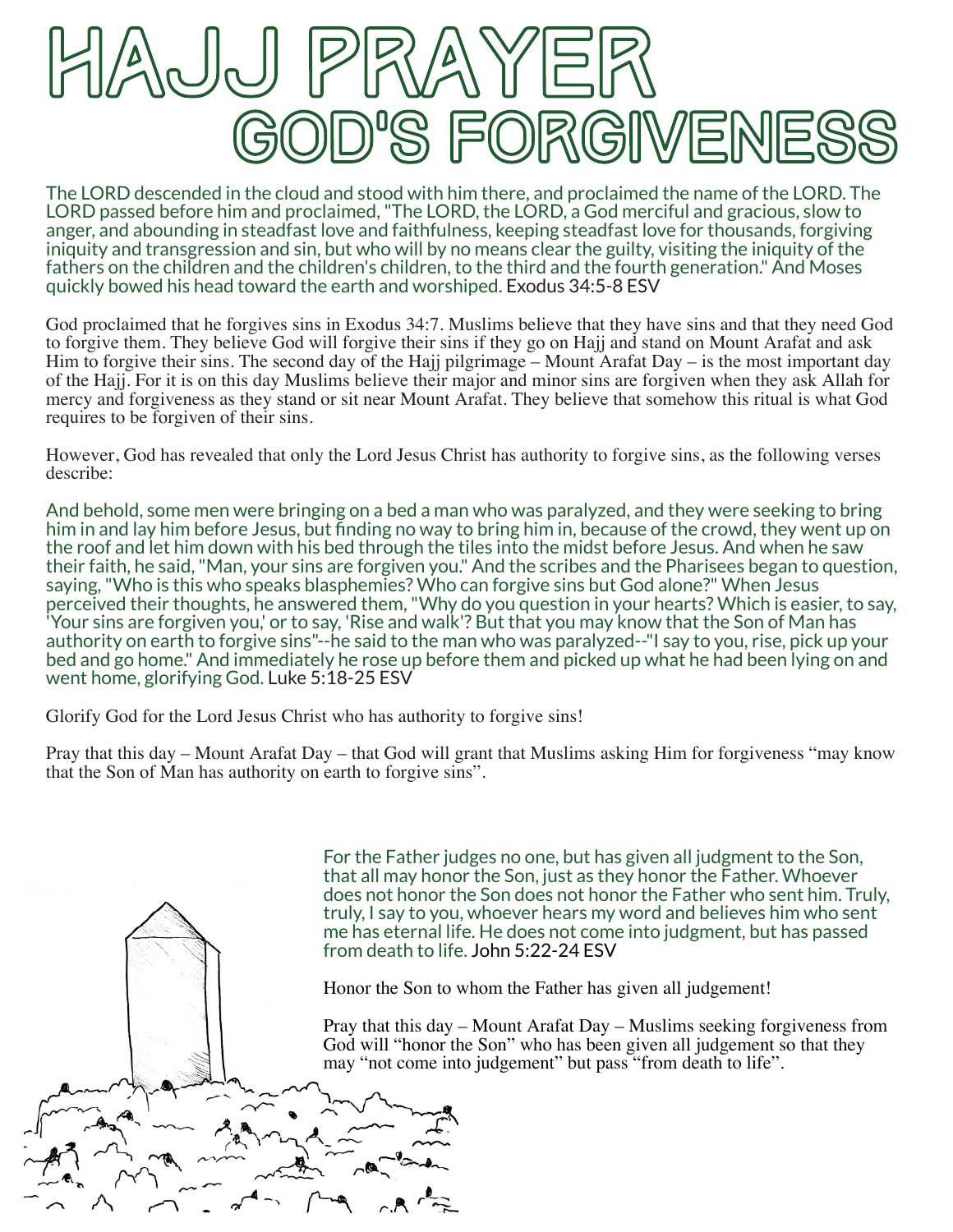

The LORD descended in the cloud and stood with him there, and proclaimed the name of the LORD. The LORD passed before him and proclaimed, "The LORD, the LORD, a God merciful and gracious, slow to anger, and abounding in steadfast love and faithfulness, keeping steadfast love for thousands, forgiving iniquity and transgression and sin, but who will by no means clear the guilty, visiting the iniquity of the fathers on the children and the children's children, to the third and the fourth generation." And Moses quickly bowed his head toward the earth and worshiped. Exodus 34:5-8 ESV

God proclaimed that he forgives sins in Exodus 34:7. Muslims believe that they have sins and that they need God to forgive them. They believe God will forgive their sins if they go on Hajj and stand on Mount Arafat and ask Him to forgive their sins. The second day of the Hajj pilgrimage – Mount Arafat Day – is the most important day of the Hajj. For it is on this day Muslims believe their major and minor sins are forgiven when they ask Allah for mercy and forgiveness as they stand or sit near Mount Arafat. They believe that somehow this ritual is what God requires to be forgiven of their sins.

However, God has revealed that only the Lord Jesus Christ has authority to forgive sins, as the following verses describe:

And behold, some men were bringing on a bed a man who was paralyzed, and they were seeking to bring him in and lay him before Jesus, but finding no way to bring him in, because of the crowd, they went up on the roof and let him down with his bed through the tiles into the midst before Jesus. And when he saw their faith, he said, "Man, your sins are forgiven you." And the scribes and the Pharisees began to question, saying, "Who is this who speaks blasphemies? Who can forgive sins but God alone?" When Jesus perceived their thoughts, he answered them, "Why do you question in your hearts? Which is easier, to say, 'Your sins are forgiven you,' or to say, 'Rise and walk'? But that you may know that the Son of Man has authority on earth to forgive sins"--he said to the man who was paralyzed--"I say to you, rise, pick up your bed and go home." And immediately he rose up before them and picked up what he had been lying on and went home, glorifying God. Luke 5:18-25 ESV

Glorify God for the Lord Jesus Christ who has authority to forgive sins!

Pray that this day – Mount Arafat Day – that God will grant that Muslims asking Him for forgiveness "may know that the Son of Man has authority on earth to forgive sins".

> For the Father judges no one, but has given all judgment to the Son, that all may honor the Son, just as they honor the Father. Whoever does not honor the Son does not honor the Father who sent him. Truly, truly, I say to you, whoever hears my word and believes him who sent me has eternal life. He does not come into judgment, but has passed from death to life. John 5:22-24 ESV

Honor the Son to whom the Father has given all judgement!

Pray that this day – Mount Arafat Day – Muslims seeking forgiveness from God will "honor the Son" who has been given all judgement so that they may "not come into judgement" but pass "from death to life".